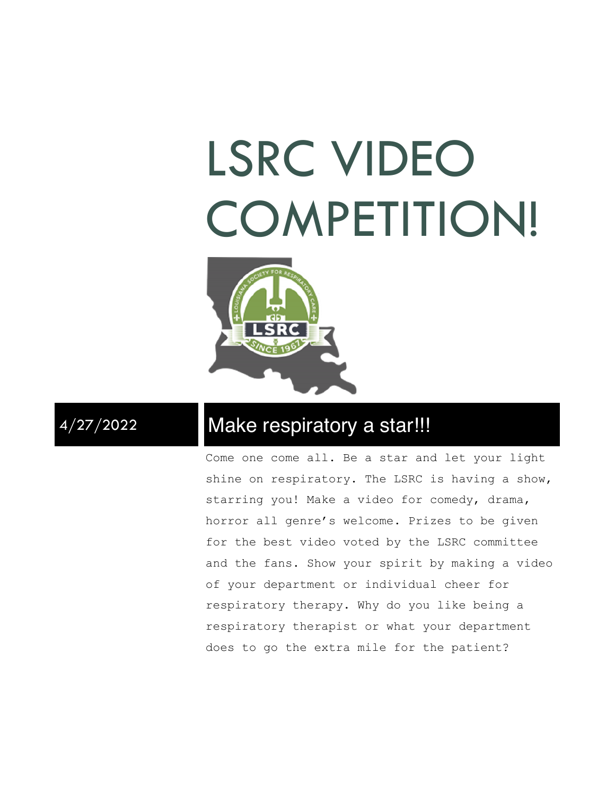# LSRC VIDEO COMPETITION!



## 4/27/2022 Make respiratory a star!!!

Come one come all. Be a star and let your light shine on respiratory. The LSRC is having a show, starring you! Make a video for comedy, drama, horror all genre's welcome. Prizes to be given for the best video voted by the LSRC committee and the fans. Show your spirit by making a video of your department or individual cheer for respiratory therapy. Why do you like being a respiratory therapist or what your department does to go the extra mile for the patient?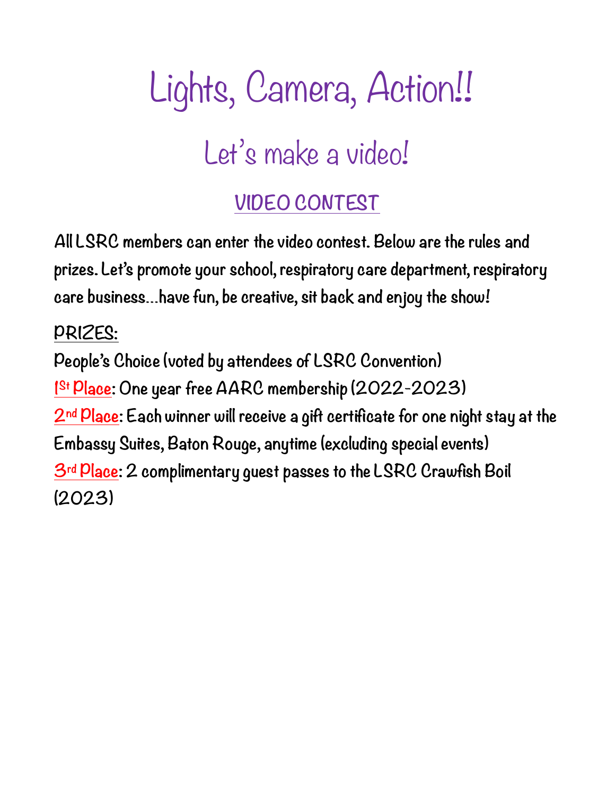## Lights, Camera, Action!! Let's make a video!

## **VIDEO CONTEST**

**All LSRC members can enter the video contest. Below are the rules and prizes. Let's promote your school, respiratory care department, respiratory care business…have fun, be creative, sit back and enjoy the show!**

## **PRIZES:**

**People's Choice (voted by attendees of LSRC Convention) 1St Place: One year free AARC membership (2022-2023) 2nd Place: Each winner will receive a gift certificate for one night stay at the Embassy Suites, Baton Rouge, anytime (excluding special events) 3rd Place: 2 complimentary guest passes to the LSRC Crawfish Boil (2023)**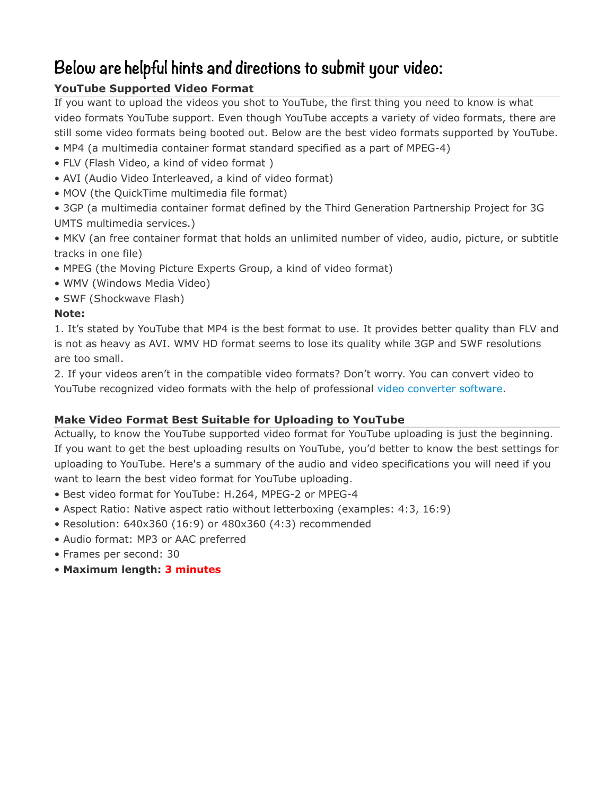### **Below are helpful hints and directions to submit your video:**

#### **YouTube Supported Video Format**

If you want to upload the videos you shot to YouTube, the first thing you need to know is what video formats YouTube support. Even though YouTube accepts a variety of video formats, there are still some video formats being booted out. Below are the best video formats supported by YouTube.

- MP4 (a multimedia container format standard specified as a part of MPEG-4)
- FLV (Flash Video, a kind of video format )
- AVI (Audio Video Interleaved, a kind of video format)
- MOV (the QuickTime multimedia file format)
- 3GP (a multimedia container format defined by the Third Generation Partnership Project for 3G UMTS multimedia services.)
- MKV (an free container format that holds an unlimited number of video, audio, picture, or subtitle tracks in one file)
- MPEG (the Moving Picture Experts Group, a kind of video format)
- WMV (Windows Media Video)
- SWF (Shockwave Flash)

#### **Note:**

1. It's stated by YouTube that MP4 is the best format to use. It provides better quality than FLV and is not as heavy as AVI. WMV HD format seems to lose its quality while 3GP and SWF resolutions are too small.

2. If your videos aren't in the compatible video formats? Don't worry. You can convert video to YouTube recognized video formats with the help of professional [video converter software](http://www.macxdvd.com/mac-video-converter-pro/).

#### **Make Video Format Best Suitable for Uploading to YouTube**

Actually, to know the YouTube supported video format for YouTube uploading is just the beginning. If you want to get the best uploading results on YouTube, you'd better to know the best settings for uploading to YouTube. Here's a summary of the audio and video specifications you will need if you want to learn the best video format for YouTube uploading.

- Best video format for YouTube: H.264, MPEG-2 or MPEG-4
- Aspect Ratio: Native aspect ratio without letterboxing (examples: 4:3, 16:9)
- Resolution: 640x360 (16:9) or 480x360 (4:3) recommended
- Audio format: MP3 or AAC preferred
- Frames per second: 30
- **Maximum length: 3 minutes**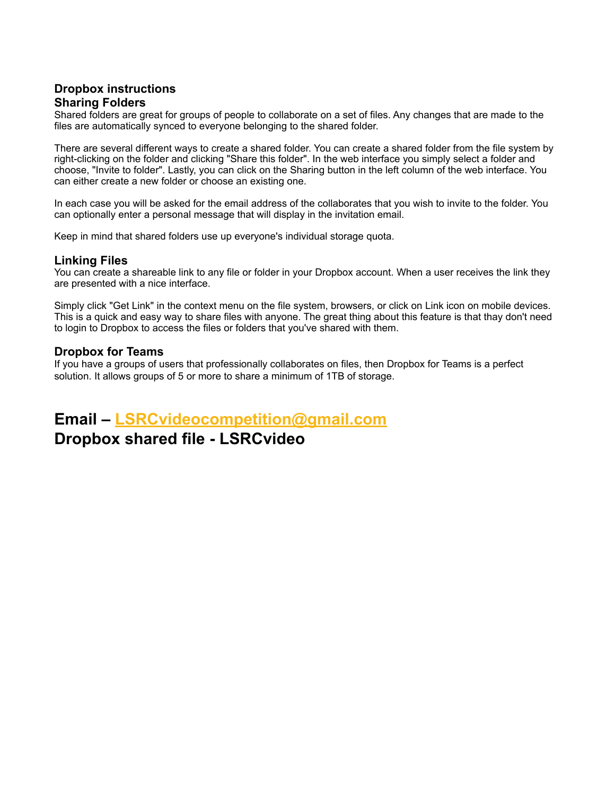#### **Dropbox instructions Sharing Folders**

Shared folders are great for groups of people to collaborate on a set of files. Any changes that are made to the files are automatically synced to everyone belonging to the shared folder.

There are several different ways to create a shared folder. You can create a shared folder from the file system by right-clicking on the folder and clicking "Share this folder". In the web interface you simply select a folder and choose, "Invite to folder". Lastly, you can click on the Sharing button in the left column of the web interface. You can either create a new folder or choose an existing one.

In each case you will be asked for the email address of the collaborates that you wish to invite to the folder. You can optionally enter a personal message that will display in the invitation email.

Keep in mind that shared folders use up everyone's individual storage quota.

#### **Linking Files**

You can create a shareable link to any file or folder in your Dropbox account. When a user receives the link they are presented with a nice interface.

Simply click "Get Link" in the context menu on the file system, browsers, or click on Link icon on mobile devices. This is a quick and easy way to share files with anyone. The great thing about this feature is that thay don't need to login to Dropbox to access the files or folders that you've shared with them.

#### **Dropbox for Teams**

If you have a groups of users that professionally collaborates on files, then Dropbox for Teams is a perfect solution. It allows groups of 5 or more to share a minimum of 1TB of storage.

### **Email – [LSRCvideocompetition@gmail.com](mailto:LSRCvideocompetition@gmail.com)**

### **Dropbox shared file - LSRCvideo**